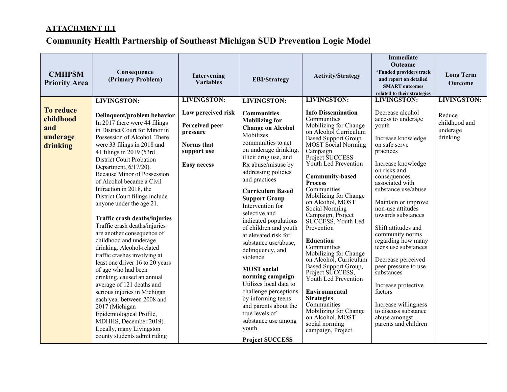| <b>CMHPSM</b><br><b>Priority Area</b>                        | Consequence<br>(Primary Problem)                                                                                                                                                                                                                                                                                                                                                                                                                                                                                                                                                                                                                                                                                                                                                                                                                                                                                                                             | Intervening<br><b>Variables</b>                                                                                           | <b>EBI/Strategy</b>                                                                                                                                                                                                                                                                                                                                                                                                                                                                                                                                                                                                                                                                                | <b>Activity/Strategy</b>                                                                                                                                                                                                                                                                                                                                                                                                                                                                                                                                                                                                                                                                                           | <b>Immediate</b><br><b>Outcome</b><br>*Funded providers track<br>and report on detailed<br><b>SMART</b> outcomes<br>related to their strategies                                                                                                                                                                                                                                                                                                                                                                                                                            | <b>Long Term</b><br><b>Outcome</b>                                     |
|--------------------------------------------------------------|--------------------------------------------------------------------------------------------------------------------------------------------------------------------------------------------------------------------------------------------------------------------------------------------------------------------------------------------------------------------------------------------------------------------------------------------------------------------------------------------------------------------------------------------------------------------------------------------------------------------------------------------------------------------------------------------------------------------------------------------------------------------------------------------------------------------------------------------------------------------------------------------------------------------------------------------------------------|---------------------------------------------------------------------------------------------------------------------------|----------------------------------------------------------------------------------------------------------------------------------------------------------------------------------------------------------------------------------------------------------------------------------------------------------------------------------------------------------------------------------------------------------------------------------------------------------------------------------------------------------------------------------------------------------------------------------------------------------------------------------------------------------------------------------------------------|--------------------------------------------------------------------------------------------------------------------------------------------------------------------------------------------------------------------------------------------------------------------------------------------------------------------------------------------------------------------------------------------------------------------------------------------------------------------------------------------------------------------------------------------------------------------------------------------------------------------------------------------------------------------------------------------------------------------|----------------------------------------------------------------------------------------------------------------------------------------------------------------------------------------------------------------------------------------------------------------------------------------------------------------------------------------------------------------------------------------------------------------------------------------------------------------------------------------------------------------------------------------------------------------------------|------------------------------------------------------------------------|
| <b>To reduce</b><br>childhood<br>and<br>underage<br>drinking | <b>LIVINGSTON:</b><br>Delinquent/problem behavior<br>In 2017 there were 44 filings<br>in District Court for Minor in<br>Possession of Alcohol. There<br>were 33 filings in 2018 and<br>41 filings in 2019 (53rd<br><b>District Court Probation</b><br>Department, 6/17/20).<br><b>Because Minor of Possession</b><br>of Alcohol became a Civil<br>Infraction in 2018, the<br>District Court filings include<br>anyone under the age 21.<br><b>Traffic crash deaths/injuries</b><br>Traffic crash deaths/injuries<br>are another consequence of<br>childhood and underage<br>drinking. Alcohol-related<br>traffic crashes involving at<br>least one driver 16 to 20 years<br>of age who had been<br>drinking, caused an annual<br>average of 121 deaths and<br>serious injuries in Michigan<br>each year between 2008 and<br>2017 (Michigan<br>Epidemiological Profile,<br>MDHHS, December 2019).<br>Locally, many Livingston<br>county students admit riding | <b>LIVINGSTON:</b><br>Low perceived risk<br>Perceived peer<br>pressure<br>Norms that<br>support use<br><b>Easy access</b> | <b>LIVINGSTON:</b><br><b>Communities</b><br><b>Mobilizing for</b><br><b>Change on Alcohol</b><br>Mobilizes<br>communities to act<br>on underage drinking,<br>illicit drug use, and<br>Rx abuse/misuse by<br>addressing policies<br>and practices<br><b>Curriculum Based</b><br><b>Support Group</b><br>Intervention for<br>selective and<br>indicated populations<br>of children and youth<br>at elevated risk for<br>substance use/abuse,<br>delinquency, and<br>violence<br><b>MOST</b> social<br>norming campaign<br>Utilizes local data to<br>challenge perceptions<br>by informing teens<br>and parents about the<br>true levels of<br>substance use among<br>youth<br><b>Project SUCCESS</b> | <b>LIVINGSTON:</b><br><b>Info Dissemination</b><br>Communities<br>Mobilizing for Change<br>on Alcohol Curriculum<br><b>Based Support Group</b><br>MOST Social Norming<br>Campaign<br>Project SUCCESS<br>Youth Led Prevention<br><b>Community-based</b><br><b>Process</b><br>Communities<br>Mobilizing for Change<br>on Alcohol, MOST<br>Social Norming<br>Campaign, Project<br>SUCCESS, Youth Led<br>Prevention<br><b>Education</b><br>Communities<br>Mobilizing for Change<br>on Alcohol, Curriculum<br>Based Support Group,<br>Project SUCCESS,<br>Youth Led Prevention<br>Environmental<br><b>Strategies</b><br>Communities<br>Mobilizing for Change<br>on Alcohol, MOST<br>social norming<br>campaign, Project | <b>LIVINGSTON:</b><br>Decrease alcohol<br>access to underage<br>youth<br>Increase knowledge<br>on safe serve<br>practices<br>Increase knowledge<br>on risks and<br>consequences<br>associated with<br>substance use/abuse<br>Maintain or improve<br>non-use attitudes<br>towards substances<br>Shift attitudes and<br>community norms<br>regarding how many<br>teens use substances<br>Decrease perceived<br>peer pressure to use<br>substances<br>Increase protective<br>factors<br>Increase willingness<br>to discuss substance<br>abuse amongst<br>parents and children | <b>LIVINGSTON:</b><br>Reduce<br>childhood and<br>underage<br>drinking. |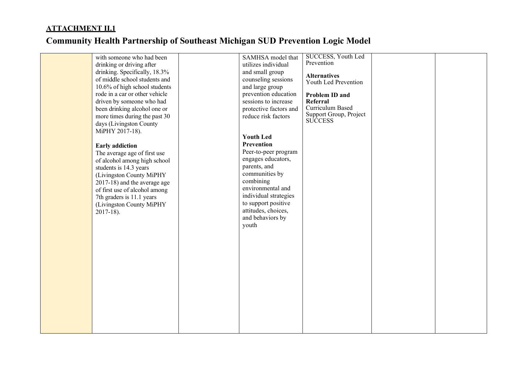|  | with someone who had been      | SAMHSA model that      | <b>SUCCESS</b> , Youth Led                  |  |
|--|--------------------------------|------------------------|---------------------------------------------|--|
|  | drinking or driving after      | utilizes individual    | Prevention                                  |  |
|  | drinking. Specifically, 18.3%  | and small group        |                                             |  |
|  | of middle school students and  | counseling sessions    | <b>Alternatives</b><br>Youth Led Prevention |  |
|  | 10.6% of high school students  | and large group        |                                             |  |
|  | rode in a car or other vehicle | prevention education   | Problem ID and                              |  |
|  | driven by someone who had      | sessions to increase   | Referral                                    |  |
|  | been drinking alcohol one or   | protective factors and | Curriculum Based                            |  |
|  | more times during the past 30  | reduce risk factors    | Support Group, Project                      |  |
|  | days (Livingston County        |                        | <b>SUCCESS</b>                              |  |
|  | MiPHY 2017-18).                |                        |                                             |  |
|  |                                | <b>Youth Led</b>       |                                             |  |
|  | <b>Early addiction</b>         | Prevention             |                                             |  |
|  | The average age of first use   | Peer-to-peer program   |                                             |  |
|  | of alcohol among high school   | engages educators,     |                                             |  |
|  | students is 14.3 years         | parents, and           |                                             |  |
|  | (Livingston County MiPHY       | communities by         |                                             |  |
|  | 2017-18) and the average age   | combining              |                                             |  |
|  | of first use of alcohol among  | environmental and      |                                             |  |
|  | 7th graders is 11.1 years      | individual strategies  |                                             |  |
|  | (Livingston County MiPHY       | to support positive    |                                             |  |
|  | $2017-18$ ).                   | attitudes, choices,    |                                             |  |
|  |                                | and behaviors by       |                                             |  |
|  |                                | youth                  |                                             |  |
|  |                                |                        |                                             |  |
|  |                                |                        |                                             |  |
|  |                                |                        |                                             |  |
|  |                                |                        |                                             |  |
|  |                                |                        |                                             |  |
|  |                                |                        |                                             |  |
|  |                                |                        |                                             |  |
|  |                                |                        |                                             |  |
|  |                                |                        |                                             |  |
|  |                                |                        |                                             |  |
|  |                                |                        |                                             |  |
|  |                                |                        |                                             |  |
|  |                                |                        |                                             |  |
|  |                                |                        |                                             |  |
|  |                                |                        |                                             |  |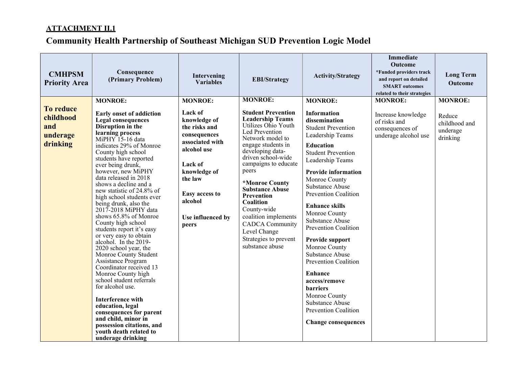| <b>CMHPSM</b><br><b>Priority Area</b>                        | Consequence<br>(Primary Problem)                                                                                                                                                                                                                                                                                                                                                                                                                                                                                                                                                                                                                                                                                                                                                                                                                                                                                     | Intervening<br>Variables                                                                                                                                                                                      | <b>EBI/Strategy</b>                                                                                                                                                                                                                                                                                                                                                                                                                             | <b>Activity/Strategy</b>                                                                                                                                                                                                                                                                                                                                                                                                                                                                                                                                                                                | <b>Immediate</b><br>Outcome<br>*Funded providers track<br>and report on detailed<br><b>SMART</b> outcomes<br>related to their strategies | <b>Long Term</b><br><b>Outcome</b>                                |
|--------------------------------------------------------------|----------------------------------------------------------------------------------------------------------------------------------------------------------------------------------------------------------------------------------------------------------------------------------------------------------------------------------------------------------------------------------------------------------------------------------------------------------------------------------------------------------------------------------------------------------------------------------------------------------------------------------------------------------------------------------------------------------------------------------------------------------------------------------------------------------------------------------------------------------------------------------------------------------------------|---------------------------------------------------------------------------------------------------------------------------------------------------------------------------------------------------------------|-------------------------------------------------------------------------------------------------------------------------------------------------------------------------------------------------------------------------------------------------------------------------------------------------------------------------------------------------------------------------------------------------------------------------------------------------|---------------------------------------------------------------------------------------------------------------------------------------------------------------------------------------------------------------------------------------------------------------------------------------------------------------------------------------------------------------------------------------------------------------------------------------------------------------------------------------------------------------------------------------------------------------------------------------------------------|------------------------------------------------------------------------------------------------------------------------------------------|-------------------------------------------------------------------|
| <b>To reduce</b><br>childhood<br>and<br>underage<br>drinking | <b>MONROE:</b><br><b>Early onset of addiction</b><br><b>Legal consequences</b><br>Disruption in the<br>learning process<br>MiPHY 15-16 data<br>indicates 29% of Monroe<br>County high school<br>students have reported<br>ever being drunk,<br>however, new MiPHY<br>data released in 2018<br>shows a decline and a<br>new statistic of 24.8% of<br>high school students ever<br>being drunk, also the<br>2017-2018 MiPHY data<br>shows 65.8% of Monroe<br>County high school<br>students report it's easy<br>or very easy to obtain<br>alcohol. In the 2019-<br>2020 school year, the<br>Monroe County Student<br>Assistance Program<br>Coordinator received 13<br>Monroe County high<br>school student referrals<br>for alcohol use.<br><b>Interference with</b><br>education, legal<br>consequences for parent<br>and child, minor in<br>possession citations, and<br>youth death related to<br>underage drinking | <b>MONROE:</b><br>Lack of<br>knowledge of<br>the risks and<br>consequences<br>associated with<br>alcohol use<br>Lack of<br>knowledge of<br>the law<br>Easy access to<br>alcohol<br>Use influenced by<br>peers | <b>MONROE:</b><br><b>Student Prevention</b><br><b>Leadership Teams</b><br>Utilizes Ohio Youth<br>Led Prevention<br>Network model to<br>engage students in<br>developing data-<br>driven school-wide<br>campaigns to educate<br>peers<br>*Monroe County<br><b>Substance Abuse</b><br><b>Prevention</b><br>Coalition<br>County-wide<br>coalition implements<br><b>CADCA</b> Community<br>Level Change<br>Strategies to prevent<br>substance abuse | <b>MONROE:</b><br><b>Information</b><br>dissemination<br><b>Student Prevention</b><br>Leadership Teams<br><b>Education</b><br><b>Student Prevention</b><br>Leadership Teams<br><b>Provide information</b><br>Monroe County<br>Substance Abuse<br><b>Prevention Coalition</b><br><b>Enhance skills</b><br>Monroe County<br>Substance Abuse<br>Prevention Coalition<br>Provide support<br>Monroe County<br>Substance Abuse<br><b>Prevention Coalition</b><br><b>Enhance</b><br>access/remove<br><b>barriers</b><br>Monroe County<br>Substance Abuse<br>Prevention Coalition<br><b>Change consequences</b> | <b>MONROE:</b><br>Increase knowledge<br>of risks and<br>consequences of<br>underage alcohol use                                          | <b>MONROE:</b><br>Reduce<br>childhood and<br>underage<br>drinking |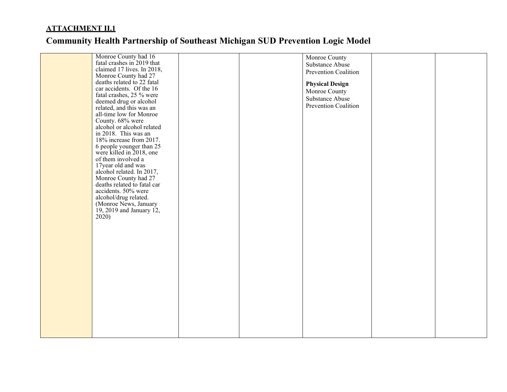| Monroe County had 16                               |  | Monroe County          |  |
|----------------------------------------------------|--|------------------------|--|
| fatal crashes in 2019 that                         |  | Substance Abuse        |  |
| claimed 17 lives. In 2018,                         |  | Prevention Coalition   |  |
| Monroe County had 27                               |  |                        |  |
| deaths related to 22 fatal                         |  | <b>Physical Design</b> |  |
| car accidents. Of the 16                           |  | Monroe County          |  |
| fatal crashes, 25 % were                           |  | Substance Abuse        |  |
| deemed drug or alcohol                             |  | Prevention Coalition   |  |
| related, and this was an                           |  |                        |  |
| all-time low for Monroe                            |  |                        |  |
| County. 68% were                                   |  |                        |  |
| alcohol or alcohol related<br>in 2018. This was an |  |                        |  |
| 18% increase from 2017.                            |  |                        |  |
| 6 people younger than 25                           |  |                        |  |
| were killed in 2018, one                           |  |                        |  |
| of them involved a                                 |  |                        |  |
| 17year old and was                                 |  |                        |  |
| alcohol related. In 2017,                          |  |                        |  |
| Monroe County had 27                               |  |                        |  |
| deaths related to fatal car                        |  |                        |  |
| accidents. 50% were                                |  |                        |  |
| alcohol/drug related.                              |  |                        |  |
| (Monroe News, January                              |  |                        |  |
| 19, 2019 and January 12,                           |  |                        |  |
| 2020)                                              |  |                        |  |
|                                                    |  |                        |  |
|                                                    |  |                        |  |
|                                                    |  |                        |  |
|                                                    |  |                        |  |
|                                                    |  |                        |  |
|                                                    |  |                        |  |
|                                                    |  |                        |  |
|                                                    |  |                        |  |
|                                                    |  |                        |  |
|                                                    |  |                        |  |
|                                                    |  |                        |  |
|                                                    |  |                        |  |
|                                                    |  |                        |  |
|                                                    |  |                        |  |
|                                                    |  |                        |  |
|                                                    |  |                        |  |
|                                                    |  |                        |  |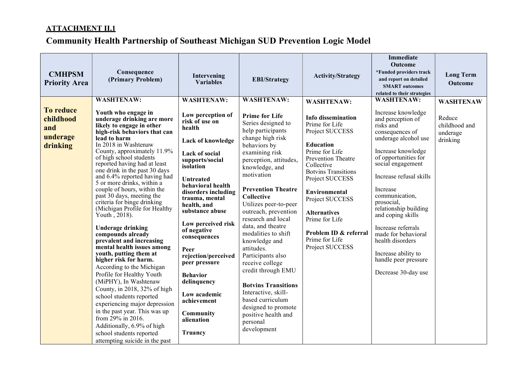| <b>CMHPSM</b><br><b>Priority Area</b>                        | Consequence<br>(Primary Problem)                                                                                                                                                                                                                                                                                                                                                                                                                                                                                                                                                                                                                                                                                                                                                                                                                                                                                                                                                                                     | Intervening<br><b>Variables</b>                                                                                                                                                                                                                                                                                                                                                                                                                                           | <b>EBI/Strategy</b><br><b>WASHTENAW:</b>                                                                                                                                                                                                                                                                                                                                                                                                                                                                                                                                                      | <b>Activity/Strategy</b>                                                                                                                                                                                                                                                                                                                                         | <b>Immediate</b><br><b>Outcome</b><br>*Funded providers track<br>and report on detailed<br><b>SMART</b> outcomes<br>related to their strategies                                                                                                                                                                                                                                                                                                     | <b>Long Term</b><br><b>Outcome</b>                                  |
|--------------------------------------------------------------|----------------------------------------------------------------------------------------------------------------------------------------------------------------------------------------------------------------------------------------------------------------------------------------------------------------------------------------------------------------------------------------------------------------------------------------------------------------------------------------------------------------------------------------------------------------------------------------------------------------------------------------------------------------------------------------------------------------------------------------------------------------------------------------------------------------------------------------------------------------------------------------------------------------------------------------------------------------------------------------------------------------------|---------------------------------------------------------------------------------------------------------------------------------------------------------------------------------------------------------------------------------------------------------------------------------------------------------------------------------------------------------------------------------------------------------------------------------------------------------------------------|-----------------------------------------------------------------------------------------------------------------------------------------------------------------------------------------------------------------------------------------------------------------------------------------------------------------------------------------------------------------------------------------------------------------------------------------------------------------------------------------------------------------------------------------------------------------------------------------------|------------------------------------------------------------------------------------------------------------------------------------------------------------------------------------------------------------------------------------------------------------------------------------------------------------------------------------------------------------------|-----------------------------------------------------------------------------------------------------------------------------------------------------------------------------------------------------------------------------------------------------------------------------------------------------------------------------------------------------------------------------------------------------------------------------------------------------|---------------------------------------------------------------------|
| <b>To reduce</b><br>childhood<br>and<br>underage<br>drinking | <b>WASHTENAW:</b><br>Youth who engage in<br>underage drinking are more<br>likely to engage in other<br>high-risk behaviors that can<br>lead to harm<br>In 2018 in Washtenaw<br>County, approximately 11.9%<br>of high school students<br>reported having had at least<br>one drink in the past 30 days<br>and 6.4% reported having had<br>5 or more drinks, within a<br>couple of hours, within the<br>past 30 days, meeting the<br>criteria for binge drinking<br>(Michigan Profile for Healthy<br>Youth, $2018$ ).<br><b>Underage drinking</b><br>compounds already<br>prevalent and increasing<br>mental health issues among<br>youth, putting them at<br>higher risk for harm.<br>According to the Michigan<br>Profile for Healthy Youth<br>(MiPHY), In Washtenaw<br>County, in 2018, 32% of high<br>school students reported<br>experiencing major depression<br>in the past year. This was up<br>from 29% in 2016.<br>Additionally, 6.9% of high<br>school students reported<br>attempting suicide in the past | <b>WASHTENAW:</b><br>Low perception of<br>risk of use on<br>health<br>Lack of knowledge<br>Lack of social<br>supports/social<br>isolation<br><b>Untreated</b><br>behavioral health<br>disorders including<br>trauma, mental<br>health, and<br>substance abuse<br>Low perceived risk<br>of negative<br>consequences<br>Peer<br>rejection/perceived<br>peer pressure<br><b>Behavior</b><br>delinquency<br>Low academic<br>achievement<br>Community<br>alienation<br>Truancy | <b>Prime for Life</b><br>Series designed to<br>help participants<br>change high risk<br>behaviors by<br>examining risk<br>perception, attitudes,<br>knowledge, and<br>motivation<br><b>Prevention Theatre</b><br>Collective<br>Utilizes peer-to-peer<br>outreach, prevention<br>research and local<br>data, and theatre<br>modalities to shift<br>knowledge and<br>attitudes.<br>Participants also<br>receive college<br>credit through EMU<br><b>Botvins Transitions</b><br>Interactive, skill-<br>based curriculum<br>designed to promote<br>positive health and<br>personal<br>development | <b>WASHTENAW:</b><br><b>Info dissemination</b><br>Prime for Life<br>Project SUCCESS<br><b>Education</b><br>Prime for Life<br><b>Prevention Theatre</b><br>Collective<br><b>Botvins Transitions</b><br>Project SUCCESS<br>Environmental<br>Project SUCCESS<br><b>Alternatives</b><br>Prime for Life<br>Problem ID & referral<br>Prime for Life<br>Project SUCCESS | <b>WASHTENAW:</b><br>Increase knowledge<br>and perception of<br>risks and<br>consequences of<br>underage alcohol use<br>Increase knowledge<br>of opportunities for<br>social engagement<br>Increase refusal skills<br>Increase<br>communication,<br>prosocial,<br>relationship building<br>and coping skills<br>Increase referrals<br>made for behavioral<br>health disorders<br>Increase ability to<br>handle peer pressure<br>Decrease 30-day use | <b>WASHTENAW</b><br>Reduce<br>childhood and<br>underage<br>drinking |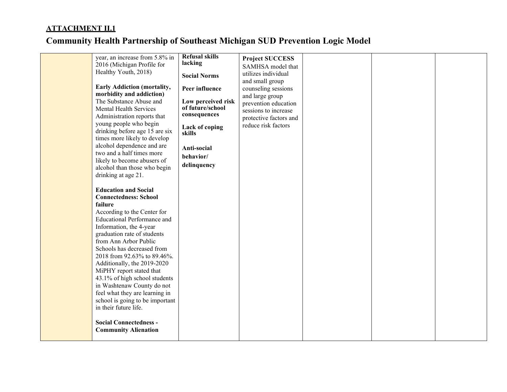| failure | year, an increase from 5.8% in<br>2016 (Michigan Profile for<br>Healthy Youth, 2018)<br>Early Addiction (mortality,<br>morbidity and addiction)<br>The Substance Abuse and<br>Mental Health Services<br>Administration reports that<br>young people who begin<br>drinking before age 15 are six<br>times more likely to develop<br>alcohol dependence and are<br>two and a half times more<br>likely to become abusers of<br>alcohol than those who begin<br>drinking at age 21.<br><b>Education and Social</b><br><b>Connectedness: School</b><br>According to the Center for<br><b>Educational Performance and</b><br>Information, the 4-year<br>graduation rate of students<br>from Ann Arbor Public<br>Schools has decreased from<br>2018 from 92.63% to 89.46%.<br>Additionally, the 2019-2020<br>MiPHY report stated that<br>43.1% of high school students<br>in Washtenaw County do not<br>feel what they are learning in<br>school is going to be important<br>in their future life.<br><b>Social Connectedness -</b><br><b>Community Alienation</b> | <b>Refusal skills</b><br>lacking<br><b>Social Norms</b><br>Peer influence<br>Low perceived risk<br>of future/school<br>consequences<br>Lack of coping<br>skills<br>Anti-social<br>behavior/<br>delinquency | <b>Project SUCCESS</b><br>SAMHSA model that<br>utilizes individual<br>and small group<br>counseling sessions<br>and large group<br>prevention education<br>sessions to increase<br>protective factors and<br>reduce risk factors |  |  |
|---------|--------------------------------------------------------------------------------------------------------------------------------------------------------------------------------------------------------------------------------------------------------------------------------------------------------------------------------------------------------------------------------------------------------------------------------------------------------------------------------------------------------------------------------------------------------------------------------------------------------------------------------------------------------------------------------------------------------------------------------------------------------------------------------------------------------------------------------------------------------------------------------------------------------------------------------------------------------------------------------------------------------------------------------------------------------------|------------------------------------------------------------------------------------------------------------------------------------------------------------------------------------------------------------|----------------------------------------------------------------------------------------------------------------------------------------------------------------------------------------------------------------------------------|--|--|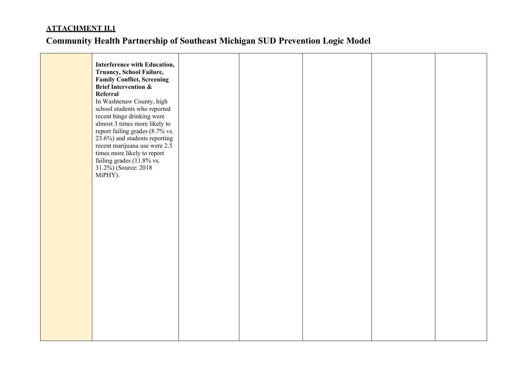| Interference with Education,<br>Truancy, School Failure,<br><b>Family Conflict, Screening</b><br><b>Brief Intervention &amp;</b><br>Referral<br>In Washtenaw County, high<br>school students who reported<br>recent binge drinking were<br>almost 3 times more likely to<br>report failing grades (8.7% vs.<br>23.6%) and students reporting<br>recent marijuana use were 2.5<br>times more likely to report<br>failing grades (11.8% vs.<br>31.2%) (Source: 2018<br>MiPHY). |  |  |  |
|------------------------------------------------------------------------------------------------------------------------------------------------------------------------------------------------------------------------------------------------------------------------------------------------------------------------------------------------------------------------------------------------------------------------------------------------------------------------------|--|--|--|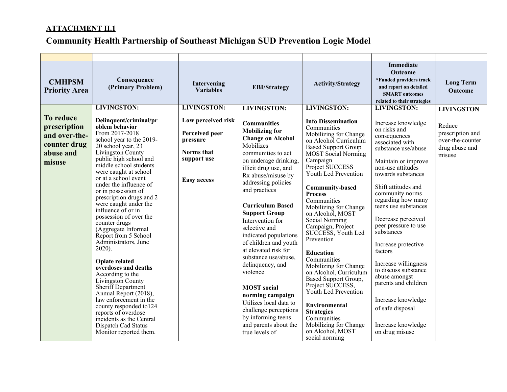| <b>CMHPSM</b><br><b>Priority Area</b>                                                    | Consequence<br>(Primary Problem)                                                                                                                                                                                                                                                                                                                                                                                                                                                                                                                                                                                                                                                                                                                                                                    | Intervening<br><b>Variables</b>                                                                     | <b>EBI/Strategy</b>                                                                                                                                                                                                                                                                                                                                                                                                                                                                                                                                                                                                | <b>Activity/Strategy</b>                                                                                                                                                                                                                                                                                                                                                                                                                                                                                                                                                                                                                                                       | <b>Immediate</b><br><b>Outcome</b><br>*Funded providers track<br>and report on detailed<br><b>SMART</b> outcomes<br>related to their strategies                                                                                                                                                                                                                                                                                                                                                                                 | <b>Long Term</b><br><b>Outcome</b>                                         |
|------------------------------------------------------------------------------------------|-----------------------------------------------------------------------------------------------------------------------------------------------------------------------------------------------------------------------------------------------------------------------------------------------------------------------------------------------------------------------------------------------------------------------------------------------------------------------------------------------------------------------------------------------------------------------------------------------------------------------------------------------------------------------------------------------------------------------------------------------------------------------------------------------------|-----------------------------------------------------------------------------------------------------|--------------------------------------------------------------------------------------------------------------------------------------------------------------------------------------------------------------------------------------------------------------------------------------------------------------------------------------------------------------------------------------------------------------------------------------------------------------------------------------------------------------------------------------------------------------------------------------------------------------------|--------------------------------------------------------------------------------------------------------------------------------------------------------------------------------------------------------------------------------------------------------------------------------------------------------------------------------------------------------------------------------------------------------------------------------------------------------------------------------------------------------------------------------------------------------------------------------------------------------------------------------------------------------------------------------|---------------------------------------------------------------------------------------------------------------------------------------------------------------------------------------------------------------------------------------------------------------------------------------------------------------------------------------------------------------------------------------------------------------------------------------------------------------------------------------------------------------------------------|----------------------------------------------------------------------------|
|                                                                                          | <b>LIVINGSTON:</b>                                                                                                                                                                                                                                                                                                                                                                                                                                                                                                                                                                                                                                                                                                                                                                                  | <b>LIVINGSTON:</b>                                                                                  | <b>LIVINGSTON:</b>                                                                                                                                                                                                                                                                                                                                                                                                                                                                                                                                                                                                 | <b>LIVINGSTON:</b>                                                                                                                                                                                                                                                                                                                                                                                                                                                                                                                                                                                                                                                             | <b>LIVINGSTON:</b>                                                                                                                                                                                                                                                                                                                                                                                                                                                                                                              | <b>LIVINGSTON</b>                                                          |
| <b>To reduce</b><br>prescription<br>and over-the-<br>counter drug<br>abuse and<br>misuse | Delinquent/criminal/pr<br>oblem behavior<br>From 2017-2018<br>school year to the 2019-<br>20 school year, 23<br>Livingston County<br>public high school and<br>middle school students<br>were caught at school<br>or at a school event<br>under the influence of<br>or in possession of<br>prescription drugs and 2<br>were caught under the<br>influence of or in<br>possession of over the<br>counter drugs<br>(Aggregate Informal<br>Report from 5 School<br>Administrators, June<br>$2020$ ).<br><b>Opiate related</b><br>overdoses and deaths<br>According to the<br>Livingston County<br>Sheriff Department<br>Annual Report (2018),<br>law enforcement in the<br>county responded to 124<br>reports of overdose<br>incidents as the Central<br>Dispatch Cad Status<br>Monitor reported them. | Low perceived risk<br>Perceived peer<br>pressure<br>Norms that<br>support use<br><b>Easy access</b> | <b>Communities</b><br><b>Mobilizing for</b><br><b>Change on Alcohol</b><br>Mobilizes<br>communities to act<br>on underage drinking,<br>illicit drug use, and<br>Rx abuse/misuse by<br>addressing policies<br>and practices<br><b>Curriculum Based</b><br><b>Support Group</b><br>Intervention for<br>selective and<br>indicated populations<br>of children and youth<br>at elevated risk for<br>substance use/abuse,<br>delinquency, and<br>violence<br><b>MOST</b> social<br>norming campaign<br>Utilizes local data to<br>challenge perceptions<br>by informing teens<br>and parents about the<br>true levels of | <b>Info Dissemination</b><br>Communities<br>Mobilizing for Change<br>on Alcohol Curriculum<br><b>Based Support Group</b><br><b>MOST</b> Social Norming<br>Campaign<br>Project SUCCESS<br>Youth Led Prevention<br><b>Community-based</b><br><b>Process</b><br>Communities<br>Mobilizing for Change<br>on Alcohol, MOST<br>Social Norming<br>Campaign, Project<br>SUCCESS, Youth Led<br>Prevention<br><b>Education</b><br>Communities<br>Mobilizing for Change<br>on Alcohol, Curriculum<br>Based Support Group,<br>Project SUCCESS,<br>Youth Led Prevention<br>Environmental<br><b>Strategies</b><br>Communities<br>Mobilizing for Change<br>on Alcohol, MOST<br>social norming | Increase knowledge<br>on risks and<br>consequences<br>associated with<br>substance use/abuse<br>Maintain or improve<br>non-use attitudes<br>towards substances<br>Shift attitudes and<br>community norms<br>regarding how many<br>teens use substances<br>Decrease perceived<br>peer pressure to use<br>substances<br>Increase protective<br>factors<br>Increase willingness<br>to discuss substance<br>abuse amongst<br>parents and children<br>Increase knowledge<br>of safe disposal<br>Increase knowledge<br>on drug misuse | Reduce<br>prescription and<br>over-the-counter<br>drug abuse and<br>misuse |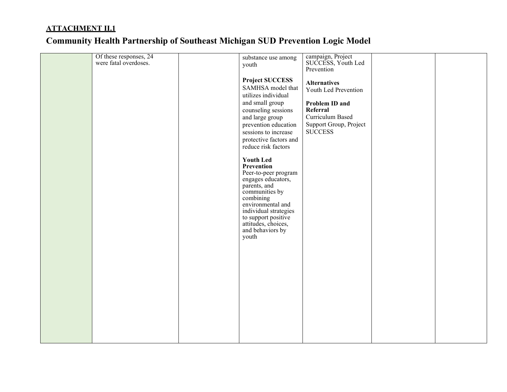|  | Of these responses, 24<br>were fatal overdoses. | substance use among<br>youth                                                                                                                                                                                                                         | campaign, Project<br>SUCCESS, Youth Led<br>Prevention        |  |
|--|-------------------------------------------------|------------------------------------------------------------------------------------------------------------------------------------------------------------------------------------------------------------------------------------------------------|--------------------------------------------------------------|--|
|  |                                                 | <b>Project SUCCESS</b><br>SAMHSA model that<br>utilizes individual                                                                                                                                                                                   | <b>Alternatives</b><br>Youth Led Prevention                  |  |
|  |                                                 | and small group<br>counseling sessions                                                                                                                                                                                                               | Problem ID and<br>Referral                                   |  |
|  |                                                 | and large group<br>prevention education<br>sessions to increase                                                                                                                                                                                      | Curriculum Based<br>Support Group, Project<br><b>SUCCESS</b> |  |
|  |                                                 | protective factors and<br>reduce risk factors                                                                                                                                                                                                        |                                                              |  |
|  |                                                 | <b>Youth Led</b><br>Prevention<br>Peer-to-peer program<br>engages educators,<br>parents, and<br>communities by<br>combining<br>environmental and<br>individual strategies<br>to support positive<br>attitudes, choices,<br>and behaviors by<br>youth |                                                              |  |
|  |                                                 |                                                                                                                                                                                                                                                      |                                                              |  |
|  |                                                 |                                                                                                                                                                                                                                                      |                                                              |  |
|  |                                                 |                                                                                                                                                                                                                                                      |                                                              |  |
|  |                                                 |                                                                                                                                                                                                                                                      |                                                              |  |
|  |                                                 |                                                                                                                                                                                                                                                      |                                                              |  |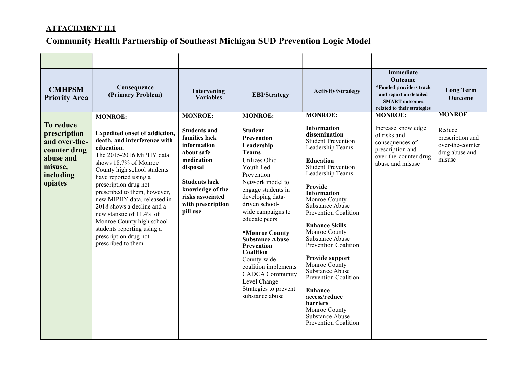| <b>CMHPSM</b><br><b>Priority Area</b>                                                                      | Consequence<br>(Primary Problem)                                                                                                                                                                                                                                                                                                                                                                                                                                                | Intervening<br><b>Variables</b>                                                                                                                                                                                | <b>EBI/Strategy</b>                                                                                                                                                                                                                                                                                                                                                                                                                                              | <b>Activity/Strategy</b>                                                                                                                                                                                                                                                                                                                                                                                                                                                                                                                                              | <b>Immediate</b><br><b>Outcome</b><br>*Funded providers track<br>and report on detailed<br><b>SMART</b> outcomes<br>related to their strategies | <b>Long Term</b><br><b>Outcome</b>                                                          |
|------------------------------------------------------------------------------------------------------------|---------------------------------------------------------------------------------------------------------------------------------------------------------------------------------------------------------------------------------------------------------------------------------------------------------------------------------------------------------------------------------------------------------------------------------------------------------------------------------|----------------------------------------------------------------------------------------------------------------------------------------------------------------------------------------------------------------|------------------------------------------------------------------------------------------------------------------------------------------------------------------------------------------------------------------------------------------------------------------------------------------------------------------------------------------------------------------------------------------------------------------------------------------------------------------|-----------------------------------------------------------------------------------------------------------------------------------------------------------------------------------------------------------------------------------------------------------------------------------------------------------------------------------------------------------------------------------------------------------------------------------------------------------------------------------------------------------------------------------------------------------------------|-------------------------------------------------------------------------------------------------------------------------------------------------|---------------------------------------------------------------------------------------------|
| To reduce<br>prescription<br>and over-the-<br>counter drug<br>abuse and<br>misuse,<br>including<br>opiates | <b>MONROE:</b><br><b>Expedited onset of addiction,</b><br>death, and interference with<br>education.<br>The 2015-2016 MiPHY data<br>shows 18.7% of Monroe<br>County high school students<br>have reported using a<br>prescription drug not<br>prescribed to them, however,<br>new MIPHY data, released in<br>2018 shows a decline and a<br>new statistic of 11.4% of<br>Monroe County high school<br>students reporting using a<br>prescription drug not<br>prescribed to them. | <b>MONROE:</b><br><b>Students and</b><br>families lack<br>information<br>about safe<br>medication<br>disposal<br><b>Students lack</b><br>knowledge of the<br>risks associated<br>with prescription<br>pill use | <b>MONROE:</b><br><b>Student</b><br><b>Prevention</b><br>Leadership<br><b>Teams</b><br>Utilizes Ohio<br>Youth Led<br>Prevention<br>Network model to<br>engage students in<br>developing data-<br>driven school-<br>wide campaigns to<br>educate peers<br>*Monroe County<br><b>Substance Abuse</b><br><b>Prevention</b><br>Coalition<br>County-wide<br>coalition implements<br><b>CADCA</b> Community<br>Level Change<br>Strategies to prevent<br>substance abuse | <b>MONROE:</b><br><b>Information</b><br>dissemination<br><b>Student Prevention</b><br>Leadership Teams<br><b>Education</b><br><b>Student Prevention</b><br>Leadership Teams<br>Provide<br><b>Information</b><br>Monroe County<br>Substance Abuse<br>Prevention Coalition<br><b>Enhance Skills</b><br>Monroe County<br>Substance Abuse<br>Prevention Coalition<br>Provide support<br>Monroe County<br>Substance Abuse<br>Prevention Coalition<br><b>Enhance</b><br>access/reduce<br><b>barriers</b><br>Monroe County<br>Substance Abuse<br><b>Prevention Coalition</b> | <b>MONROE:</b><br>Increase knowledge<br>of risks and<br>consequences of<br>prescription and<br>over-the-counter drug<br>abuse and misuse        | <b>MONROE</b><br>Reduce<br>prescription and<br>over-the-counter<br>drug abuse and<br>misuse |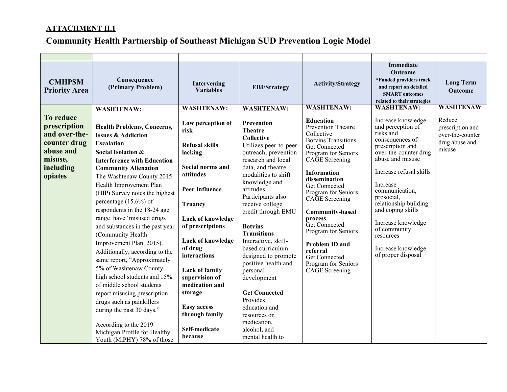| <b>CMHPSM</b><br><b>Priority Area</b>                                                                      | Consequence<br>(Primary Problem)                                                                                                                                                                                                                                                                                                                                                                                                                                                                                                                                                                                                                                                                                                                                                                   | Intervening<br><b>Variables</b>                                                                                                                                                                                                                                                                                                                                  | <b>EBI/Strategy</b>                                                                                                                                                                                                                                                                                                                                                                                                                                                                                                                                   | <b>Activity/Strategy</b>                                                                                                                                                                                                                                                                                                                                                                                                         | <b>Immediate</b><br>Outcome<br>*Funded providers track<br>and report on detailed<br><b>SMART</b> outcomes<br>related to their strategies                                                                                                                                                                                                                     | <b>Long Term</b><br><b>Outcome</b>                                         |
|------------------------------------------------------------------------------------------------------------|----------------------------------------------------------------------------------------------------------------------------------------------------------------------------------------------------------------------------------------------------------------------------------------------------------------------------------------------------------------------------------------------------------------------------------------------------------------------------------------------------------------------------------------------------------------------------------------------------------------------------------------------------------------------------------------------------------------------------------------------------------------------------------------------------|------------------------------------------------------------------------------------------------------------------------------------------------------------------------------------------------------------------------------------------------------------------------------------------------------------------------------------------------------------------|-------------------------------------------------------------------------------------------------------------------------------------------------------------------------------------------------------------------------------------------------------------------------------------------------------------------------------------------------------------------------------------------------------------------------------------------------------------------------------------------------------------------------------------------------------|----------------------------------------------------------------------------------------------------------------------------------------------------------------------------------------------------------------------------------------------------------------------------------------------------------------------------------------------------------------------------------------------------------------------------------|--------------------------------------------------------------------------------------------------------------------------------------------------------------------------------------------------------------------------------------------------------------------------------------------------------------------------------------------------------------|----------------------------------------------------------------------------|
|                                                                                                            | <b>WASHTENAW:</b>                                                                                                                                                                                                                                                                                                                                                                                                                                                                                                                                                                                                                                                                                                                                                                                  | <b>WASHTENAW:</b>                                                                                                                                                                                                                                                                                                                                                | <b>WASHTENAW:</b>                                                                                                                                                                                                                                                                                                                                                                                                                                                                                                                                     | <b>WASHTENAW:</b>                                                                                                                                                                                                                                                                                                                                                                                                                | <b>WASHTENAW:</b>                                                                                                                                                                                                                                                                                                                                            | <b>WASHTENAW</b>                                                           |
| To reduce<br>prescription<br>and over-the-<br>counter drug<br>abuse and<br>misuse,<br>including<br>opiates | <b>Health Problems, Concerns,</b><br><b>Issues &amp; Addiction</b><br><b>Escalation</b><br>Social Isolation &<br><b>Interference with Education</b><br><b>Community Alienation</b><br>The Washtenaw County 2015<br>Health Improvement Plan<br>(HIP) Survey notes the highest<br>percentage $(15.6\%)$ of<br>respondents in the 18-24 age<br>range have 'misused drugs<br>and substances in the past year<br>(Community Health<br>Improvement Plan, 2015).<br>Additionally, according to the<br>same report, "Approximately<br>5% of Washtenaw County<br>high school students and 15%<br>of middle school students<br>report misusing prescription<br>drugs such as painkillers<br>during the past 30 days."<br>According to the 2019<br>Michigan Profile for Healthy<br>Youth (MiPHY) 78% of those | Low perception of<br>risk<br><b>Refusal skills</b><br>lacking<br>Social norms and<br>attitudes<br><b>Peer Influence</b><br>Truancy<br>Lack of knowledge<br>of prescriptions<br>Lack of knowledge<br>of drug<br>interactions<br>Lack of family<br>supervision of<br>medication and<br>storage<br><b>Easy access</b><br>through family<br>Self-medicate<br>because | Prevention<br><b>Theatre</b><br><b>Collective</b><br>Utilizes peer-to-peer<br>outreach, prevention<br>research and local<br>data, and theatre<br>modalities to shift<br>knowledge and<br>attitudes.<br>Participants also<br>receive college<br>credit through EMU<br><b>Botvins</b><br><b>Transitions</b><br>Interactive, skill-<br>based curriculum<br>designed to promote<br>positive health and<br>personal<br>development<br><b>Get Connected</b><br>Provides<br>education and<br>resources on<br>medication,<br>alcohol, and<br>mental health to | <b>Education</b><br>Prevention Theatre<br>Collective<br><b>Botvins Transitions</b><br>Get Connected<br>Program for Seniors<br>CAGE Screening<br><b>Information</b><br>dissemination<br>Get Connected<br>Program for Seniors<br>CAGE Screening<br><b>Community-based</b><br>process<br>Get Connected<br>Program for Seniors<br><b>Problem ID and</b><br>referral<br>Get Connected<br>Program for Seniors<br><b>CAGE</b> Screening | Increase knowledge<br>and perception of<br>risks and<br>consequences of<br>prescription and<br>over-the-counter drug<br>abuse and misuse<br>Increase refusal skills<br>Increase<br>communication,<br>prosocial,<br>relationship building<br>and coping skills<br>Increase knowledge<br>of community<br>resources<br>Increase knowledge<br>of proper disposal | Reduce<br>prescription and<br>over-the-counter<br>drug abuse and<br>misuse |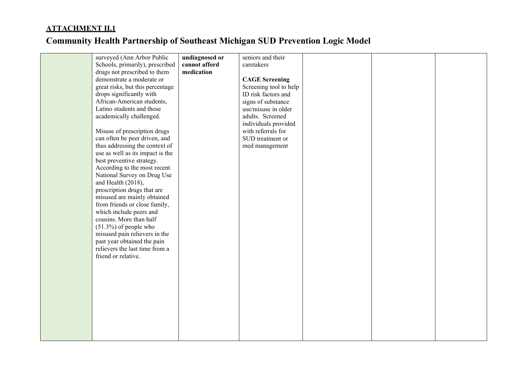|  | surveyed (Ann Arbor Public       | undiagnosed or | seniors and their      |  |  |
|--|----------------------------------|----------------|------------------------|--|--|
|  | Schools, primarily), prescribed  | cannot afford  | caretakers             |  |  |
|  | drugs not prescribed to them     | medication     |                        |  |  |
|  | demonstrate a moderate or        |                | <b>CAGE</b> Screening  |  |  |
|  | great risks, but this percentage |                | Screening tool to help |  |  |
|  | drops significantly with         |                | ID risk factors and    |  |  |
|  | African-American students,       |                | signs of substance     |  |  |
|  | Latino students and those        |                | use/misuse in older    |  |  |
|  | academically challenged.         |                | adults. Screened       |  |  |
|  |                                  |                | individuals provided   |  |  |
|  | Misuse of prescription drugs     |                | with referrals for     |  |  |
|  | can often be peer driven, and    |                | SUD treatment or       |  |  |
|  | thus addressing the context of   |                | med management         |  |  |
|  | use as well as its impact is the |                |                        |  |  |
|  | best preventive strategy.        |                |                        |  |  |
|  | According to the most recent     |                |                        |  |  |
|  | National Survey on Drug Use      |                |                        |  |  |
|  | and Health (2018),               |                |                        |  |  |
|  | prescription drugs that are      |                |                        |  |  |
|  | misused are mainly obtained      |                |                        |  |  |
|  | from friends or close family,    |                |                        |  |  |
|  | which include peers and          |                |                        |  |  |
|  | cousins. More than half          |                |                        |  |  |
|  | $(51.3%)$ of people who          |                |                        |  |  |
|  | misused pain relievers in the    |                |                        |  |  |
|  | past year obtained the pain      |                |                        |  |  |
|  | relievers the last time from a   |                |                        |  |  |
|  | friend or relative.              |                |                        |  |  |
|  |                                  |                |                        |  |  |
|  |                                  |                |                        |  |  |
|  |                                  |                |                        |  |  |
|  |                                  |                |                        |  |  |
|  |                                  |                |                        |  |  |
|  |                                  |                |                        |  |  |
|  |                                  |                |                        |  |  |
|  |                                  |                |                        |  |  |
|  |                                  |                |                        |  |  |
|  |                                  |                |                        |  |  |
|  |                                  |                |                        |  |  |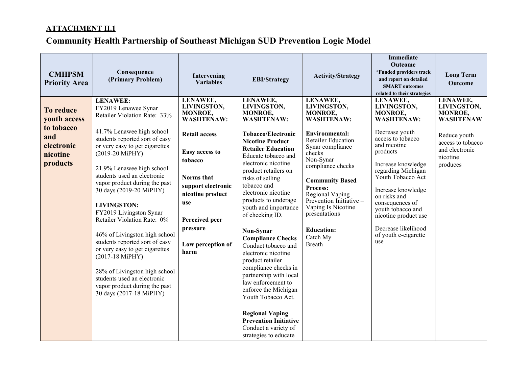| <b>CMHPSM</b><br><b>Priority Area</b>                                                | Consequence<br>(Primary Problem)                                                                                                                                                                                                                                                                                                                                                                                                                                                                                                                                                                                                                        | Intervening<br><b>Variables</b>                                                                                                                                                                                                        | <b>EBI/Strategy</b>                                                                                                                                                                                                                                                                                                                                                                                                                                                                                                                                                                                                                                                                         | <b>Activity/Strategy</b>                                                                                                                                                                                                                                                                                                                                   | <b>Immediate</b><br>Outcome<br>*Funded providers track<br>and report on detailed<br><b>SMART</b> outcomes<br>related to their strategies                                                                                                                                                                                                                | <b>Long Term</b><br>Outcome                                                                                                           |
|--------------------------------------------------------------------------------------|---------------------------------------------------------------------------------------------------------------------------------------------------------------------------------------------------------------------------------------------------------------------------------------------------------------------------------------------------------------------------------------------------------------------------------------------------------------------------------------------------------------------------------------------------------------------------------------------------------------------------------------------------------|----------------------------------------------------------------------------------------------------------------------------------------------------------------------------------------------------------------------------------------|---------------------------------------------------------------------------------------------------------------------------------------------------------------------------------------------------------------------------------------------------------------------------------------------------------------------------------------------------------------------------------------------------------------------------------------------------------------------------------------------------------------------------------------------------------------------------------------------------------------------------------------------------------------------------------------------|------------------------------------------------------------------------------------------------------------------------------------------------------------------------------------------------------------------------------------------------------------------------------------------------------------------------------------------------------------|---------------------------------------------------------------------------------------------------------------------------------------------------------------------------------------------------------------------------------------------------------------------------------------------------------------------------------------------------------|---------------------------------------------------------------------------------------------------------------------------------------|
| To reduce<br>youth access<br>to tobacco<br>and<br>electronic<br>nicotine<br>products | <b>LENAWEE:</b><br>FY2019 Lenawee Synar<br>Retailer Violation Rate: 33%<br>41.7% Lenawee high school<br>students reported sort of easy<br>or very easy to get cigarettes<br>(2019-20 MiPHY)<br>21.9% Lenawee high school<br>students used an electronic<br>vapor product during the past<br>30 days (2019-20 MiPHY)<br><b>LIVINGSTON:</b><br>FY2019 Livingston Synar<br>Retailer Violation Rate: 0%<br>46% of Livingston high school<br>students reported sort of easy<br>or very easy to get cigarettes<br>(2017-18 MiPHY)<br>28% of Livingston high school<br>students used an electronic<br>vapor product during the past<br>30 days (2017-18 MiPHY) | LENAWEE,<br>LIVINGSTON,<br>MONROE,<br><b>WASHTENAW:</b><br><b>Retail access</b><br>Easy access to<br>tobacco<br>Norms that<br>support electronic<br>nicotine product<br>use<br>Perceived peer<br>pressure<br>Low perception of<br>harm | LENAWEE,<br>LIVINGSTON,<br>MONROE,<br><b>WASHTENAW:</b><br><b>Tobacco/Electronic</b><br><b>Nicotine Product</b><br><b>Retailer Education</b><br>Educate tobacco and<br>electronic nicotine<br>product retailers on<br>risks of selling<br>tobacco and<br>electronic nicotine<br>products to underage<br>youth and importance<br>of checking ID.<br>Non-Synar<br><b>Compliance Checks</b><br>Conduct tobacco and<br>electronic nicotine<br>product retailer<br>compliance checks in<br>partnership with local<br>law enforcement to<br>enforce the Michigan<br>Youth Tobacco Act.<br><b>Regional Vaping</b><br><b>Prevention Initiative</b><br>Conduct a variety of<br>strategies to educate | LENAWEE,<br>LIVINGSTON,<br>MONROE,<br><b>WASHTENAW:</b><br><b>Environmental:</b><br><b>Retailer Education</b><br>Synar compliance<br>checks<br>Non-Synar<br>compliance checks<br><b>Community Based</b><br>Process:<br>Regional Vaping<br>Prevention Initiative -<br>Vaping Is Nicotine<br>presentations<br><b>Education:</b><br>Catch My<br><b>Breath</b> | LENAWEE,<br>LIVINGSTON,<br>MONROE,<br><b>WASHTENAW:</b><br>Decrease youth<br>access to tobacco<br>and nicotine<br>products<br>Increase knowledge<br>regarding Michigan<br>Youth Tobacco Act<br>Increase knowledge<br>on risks and<br>consequences of<br>youth tobacco and<br>nicotine product use<br>Decrease likelihood<br>of youth e-cigarette<br>use | LENAWEE,<br>LIVINGSTÓN,<br>MONROE,<br><b>WASHTENAW</b><br>Reduce youth<br>access to tobacco<br>and electronic<br>nicotine<br>produces |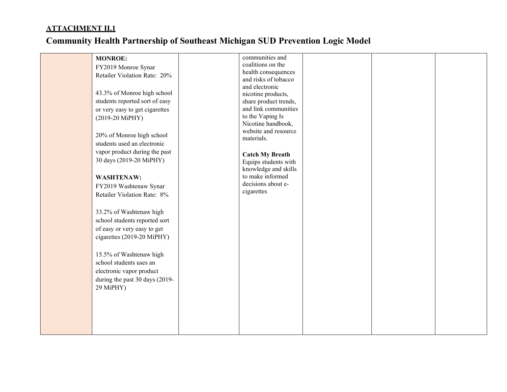| <b>MONROE:</b><br>FY2019 Monroe Synar<br>Retailer Violation Rate: 20%<br>43.3% of Monroe high school<br>students reported sort of easy<br>or very easy to get cigarettes<br>(2019-20 MiPHY)<br>20% of Monroe high school<br>students used an electronic<br>vapor product during the past<br>30 days (2019-20 MiPHY)<br><b>WASHTENAW:</b><br>FY2019 Washtenaw Synar<br>Retailer Violation Rate: 8%<br>33.2% of Washtenaw high<br>school students reported sort<br>of easy or very easy to get<br>cigarettes (2019-20 MiPHY)<br>15.5% of Washtenaw high<br>school students uses an<br>electronic vapor product<br>during the past 30 days (2019-<br>29 MiPHY) | communities and<br>coalitions on the<br>health consequences<br>and risks of tobacco<br>and electronic<br>nicotine products,<br>share product trends,<br>and link communities<br>to the Vaping Is<br>Nicotine handbook,<br>website and resource<br>materials.<br><b>Catch My Breath</b><br>Equips students with<br>knowledge and skills<br>to make informed<br>decisions about e-<br>cigarettes |  |  |
|-------------------------------------------------------------------------------------------------------------------------------------------------------------------------------------------------------------------------------------------------------------------------------------------------------------------------------------------------------------------------------------------------------------------------------------------------------------------------------------------------------------------------------------------------------------------------------------------------------------------------------------------------------------|------------------------------------------------------------------------------------------------------------------------------------------------------------------------------------------------------------------------------------------------------------------------------------------------------------------------------------------------------------------------------------------------|--|--|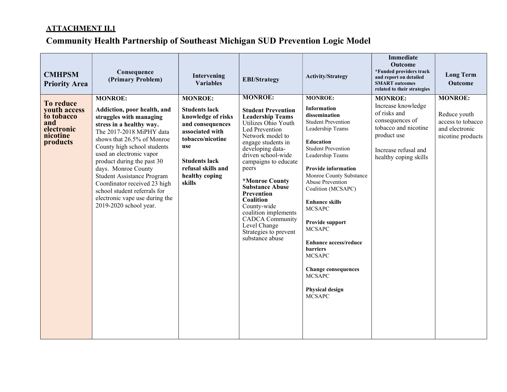| <b>CMHPSM</b><br><b>Priority Area</b>                                                | Consequence<br>(Primary Problem)                                                                                                                                                                                                                                                                                                                                                                                                                | Intervening<br><b>Variables</b>                                                                                                                                                                          | <b>EBI/Strategy</b>                                                                                                                                                                                                                                                                                                                                                                                                                      | <b>Activity/Strategy</b>                                                                                                                                                                                                                                                                                                                                                                                                                                                                                            | <b>Immediate</b><br>Outcome<br>*Funded providers track<br>and report on detailed<br><b>SMART</b> outcomes<br>related to their strategies                        | <b>Long Term</b><br>Outcome                                                                |
|--------------------------------------------------------------------------------------|-------------------------------------------------------------------------------------------------------------------------------------------------------------------------------------------------------------------------------------------------------------------------------------------------------------------------------------------------------------------------------------------------------------------------------------------------|----------------------------------------------------------------------------------------------------------------------------------------------------------------------------------------------------------|------------------------------------------------------------------------------------------------------------------------------------------------------------------------------------------------------------------------------------------------------------------------------------------------------------------------------------------------------------------------------------------------------------------------------------------|---------------------------------------------------------------------------------------------------------------------------------------------------------------------------------------------------------------------------------------------------------------------------------------------------------------------------------------------------------------------------------------------------------------------------------------------------------------------------------------------------------------------|-----------------------------------------------------------------------------------------------------------------------------------------------------------------|--------------------------------------------------------------------------------------------|
| To reduce<br>youth access<br>to tobacco<br>and<br>electronic<br>nicotine<br>products | <b>MONROE:</b><br>Addiction, poor health, and<br>struggles with managing<br>stress in a healthy way.<br>The 2017-2018 MiPHY data<br>shows that 26.5% of Monroe<br>County high school students<br>used an electronic vapor<br>product during the past 30<br>days. Monroe County<br><b>Student Assistance Program</b><br>Coordinator received 23 high<br>school student referrals for<br>electronic vape use during the<br>2019-2020 school year. | <b>MONROE:</b><br><b>Students lack</b><br>knowledge of risks<br>and consequences<br>associated with<br>tobacco/nicotine<br>use<br><b>Students lack</b><br>refusal skills and<br>healthy coping<br>skills | <b>MONROE:</b><br><b>Student Prevention</b><br><b>Leadership Teams</b><br>Utilizes Ohio Youth<br>Led Prevention<br>Network model to<br>engage students in<br>developing data-<br>driven school-wide<br>campaigns to educate<br>peers<br>*Monroe County<br><b>Substance Abuse</b><br>Prevention<br>Coalition<br>County-wide<br>coalition implements<br><b>CADCA</b> Community<br>Level Change<br>Strategies to prevent<br>substance abuse | <b>MONROE:</b><br>Information<br>dissemination<br><b>Student Prevention</b><br>Leadership Teams<br><b>Education</b><br><b>Student Prevention</b><br>Leadership Teams<br><b>Provide information</b><br>Monroe County Substance<br><b>Abuse Prevention</b><br>Coalition (MCSAPC)<br><b>Enhance skills</b><br><b>MCSAPC</b><br>Provide support<br><b>MCSAPC</b><br><b>Enhance access/reduce</b><br>barriers<br><b>MCSAPC</b><br><b>Change consequences</b><br><b>MCSAPC</b><br><b>Physical design</b><br><b>MCSAPC</b> | <b>MONROE:</b><br>Increase knowledge<br>of risks and<br>consequences of<br>tobacco and nicotine<br>product use<br>Increase refusal and<br>healthy coping skills | <b>MONROE:</b><br>Reduce youth<br>access to tobacco<br>and electronic<br>nicotine products |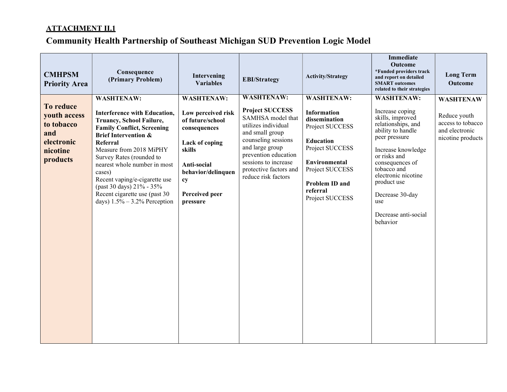| <b>CMHPSM</b><br><b>Priority Area</b>                                                | Consequence<br>(Primary Problem)                                                                                                                                                                                                                                                                                                                                                                                    | Intervening<br><b>Variables</b>                                                                                                                                                  | <b>EBI/Strategy</b>                                                                                                                                                                                                                                   | <b>Activity/Strategy</b>                                                                                                                                                                                       | <b>Immediate</b><br>Outcome<br>*Funded providers track<br>and report on detailed<br><b>SMART</b> outcomes<br>related to their strategies                                                                                                                                                         | <b>Long Term</b><br><b>Outcome</b>                                                           |
|--------------------------------------------------------------------------------------|---------------------------------------------------------------------------------------------------------------------------------------------------------------------------------------------------------------------------------------------------------------------------------------------------------------------------------------------------------------------------------------------------------------------|----------------------------------------------------------------------------------------------------------------------------------------------------------------------------------|-------------------------------------------------------------------------------------------------------------------------------------------------------------------------------------------------------------------------------------------------------|----------------------------------------------------------------------------------------------------------------------------------------------------------------------------------------------------------------|--------------------------------------------------------------------------------------------------------------------------------------------------------------------------------------------------------------------------------------------------------------------------------------------------|----------------------------------------------------------------------------------------------|
| To reduce<br>youth access<br>to tobacco<br>and<br>electronic<br>nicotine<br>products | <b>WASHTENAW:</b><br><b>Interference with Education,</b><br><b>Truancy, School Failure,</b><br><b>Family Conflict, Screening</b><br><b>Brief Intervention &amp;</b><br>Referral<br>Measure from 2018 MiPHY<br>Survey Rates (rounded to<br>nearest whole number in most<br>cases)<br>Recent vaping/e-cigarette use<br>(past 30 days) 21% - 35%<br>Recent cigarette use (past 30)<br>days) $1.5\% - 3.2\%$ Perception | <b>WASHTENAW:</b><br>Low perceived risk<br>of future/school<br>consequences<br>Lack of coping<br>skills<br>Anti-social<br>behavior/delinquen<br>cy<br>Perceived peer<br>pressure | <b>WASHTENAW:</b><br><b>Project SUCCESS</b><br>SAMHSA model that<br>utilizes individual<br>and small group<br>counseling sessions<br>and large group<br>prevention education<br>sessions to increase<br>protective factors and<br>reduce risk factors | <b>WASHTENAW:</b><br><b>Information</b><br>dissemination<br>Project SUCCESS<br><b>Education</b><br>Project SUCCESS<br><b>Environmental</b><br>Project SUCCESS<br>Problem ID and<br>referral<br>Project SUCCESS | <b>WASHTENAW:</b><br>Increase coping<br>skills, improved<br>relationships, and<br>ability to handle<br>peer pressure<br>Increase knowledge<br>or risks and<br>consequences of<br>tobacco and<br>electronic nicotine<br>product use<br>Decrease 30-day<br>use<br>Decrease anti-social<br>behavior | <b>WASHTENAW</b><br>Reduce youth<br>access to tobacco<br>and electronic<br>nicotine products |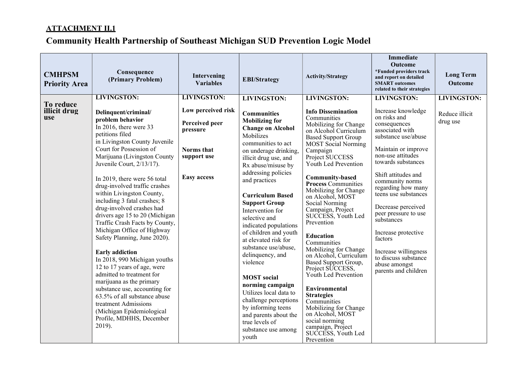| <b>CMHPSM</b><br><b>Priority Area</b>   | Consequence<br>(Primary Problem)                                                                                                                                                                                                                                                                                                                                                                                                                                                                                                                                                                                                                                                                                                                                                                                                                  | Intervening<br><b>Variables</b>                                                                                           | <b>EBI/Strategy</b>                                                                                                                                                                                                                                                                                                                                                                                                                                                                                                                                                                                                                                                      | <b>Activity/Strategy</b>                                                                                                                                                                                                                                                                                                                                                                                                                                                                                                                                                                                                                                                                                                                                   | <b>Immediate</b><br>Outcome<br>*Funded providers track<br>and report on detailed<br><b>SMART</b> outcomes<br>related to their strategies                                                                                                                                                                                                                                                                                                                            | <b>Long Term</b><br><b>Outcome</b>               |
|-----------------------------------------|---------------------------------------------------------------------------------------------------------------------------------------------------------------------------------------------------------------------------------------------------------------------------------------------------------------------------------------------------------------------------------------------------------------------------------------------------------------------------------------------------------------------------------------------------------------------------------------------------------------------------------------------------------------------------------------------------------------------------------------------------------------------------------------------------------------------------------------------------|---------------------------------------------------------------------------------------------------------------------------|--------------------------------------------------------------------------------------------------------------------------------------------------------------------------------------------------------------------------------------------------------------------------------------------------------------------------------------------------------------------------------------------------------------------------------------------------------------------------------------------------------------------------------------------------------------------------------------------------------------------------------------------------------------------------|------------------------------------------------------------------------------------------------------------------------------------------------------------------------------------------------------------------------------------------------------------------------------------------------------------------------------------------------------------------------------------------------------------------------------------------------------------------------------------------------------------------------------------------------------------------------------------------------------------------------------------------------------------------------------------------------------------------------------------------------------------|---------------------------------------------------------------------------------------------------------------------------------------------------------------------------------------------------------------------------------------------------------------------------------------------------------------------------------------------------------------------------------------------------------------------------------------------------------------------|--------------------------------------------------|
| To reduce<br>illicit drug<br><b>use</b> | <b>LIVINGSTON:</b><br>Delinquent/criminal/<br>problem behavior<br>In 2016, there were $33$<br>petitions filed<br>in Livingston County Juvenile<br>Court for Possession of<br>Marijuana (Livingston County<br>Juvenile Court, 2/13/17).<br>In 2019, there were 56 total<br>drug-involved traffic crashes<br>within Livingston County,<br>including 3 fatal crashes; 8<br>drug-involved crashes had<br>drivers age 15 to 20 (Michigan<br>Traffic Crash Facts by County,<br>Michigan Office of Highway<br>Safety Planning, June 2020).<br><b>Early addiction</b><br>In 2018, 990 Michigan youths<br>12 to 17 years of age, were<br>admitted to treatment for<br>marijuana as the primary<br>substance use, accounting for<br>63.5% of all substance abuse<br>treatment Admissions<br>(Michigan Epidemiological<br>Profile, MDHHS, December<br>2019). | <b>LIVINGSTON:</b><br>Low perceived risk<br>Perceived peer<br>pressure<br>Norms that<br>support use<br><b>Easy access</b> | <b>LIVINGSTON:</b><br><b>Communities</b><br><b>Mobilizing for</b><br><b>Change on Alcohol</b><br>Mobilizes<br>communities to act<br>on underage drinking,<br>illicit drug use, and<br>Rx abuse/misuse by<br>addressing policies<br>and practices<br><b>Curriculum Based</b><br><b>Support Group</b><br>Intervention for<br>selective and<br>indicated populations<br>of children and youth<br>at elevated risk for<br>substance use/abuse,<br>delinquency, and<br>violence<br><b>MOST</b> social<br>norming campaign<br>Utilizes local data to<br>challenge perceptions<br>by informing teens<br>and parents about the<br>true levels of<br>substance use among<br>youth | <b>LIVINGSTON:</b><br><b>Info Dissemination</b><br>Communities<br>Mobilizing for Change<br>on Alcohol Curriculum<br><b>Based Support Group</b><br><b>MOST Social Norming</b><br>Campaign<br>Project SUCCESS<br>Youth Led Prevention<br><b>Community-based</b><br><b>Process Communities</b><br>Mobilizing for Change<br>on Alcohol, MOST<br>Social Norming<br>Campaign, Project<br>SUCCESS, Youth Led<br>Prevention<br><b>Education</b><br>Communities<br>Mobilizing for Change<br>on Alcohol, Curriculum<br>Based Support Group,<br>Project SUCCESS,<br>Youth Led Prevention<br>Environmental<br><b>Strategies</b><br>Communities<br>Mobilizing for Change<br>on Alcohol, MOST<br>social norming<br>campaign, Project<br>SUCCESS, Youth Led<br>Prevention | <b>LIVINGSTON:</b><br>Increase knowledge<br>on risks and<br>consequences<br>associated with<br>substance use/abuse<br>Maintain or improve<br>non-use attitudes<br>towards substances<br>Shift attitudes and<br>community norms<br>regarding how many<br>teens use substances<br>Decrease perceived<br>peer pressure to use<br>substances<br>Increase protective<br>factors<br>Increase willingness<br>to discuss substance<br>abuse amongst<br>parents and children | <b>LIVINGSTON:</b><br>Reduce illicit<br>drug use |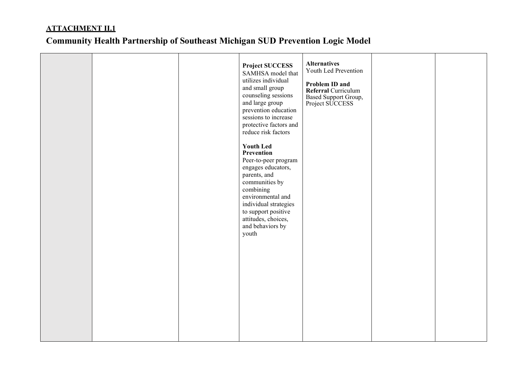|  | <b>Project SUCCESS</b><br>SAMHSA model that<br>utilizes individual<br>and small group<br>counseling sessions<br>and large group<br>prevention education<br>sessions to increase<br>protective factors and<br>reduce risk factors<br><b>Youth Led</b><br>Prevention<br>Peer-to-peer program<br>engages educators,<br>parents, and<br>communities by<br>combining<br>environmental and<br>individual strategies<br>to support positive<br>attitudes, choices,<br>and behaviors by<br>youth | <b>Alternatives</b><br>Youth Led Prevention<br>Problem ID and<br>Referral Curriculum<br>Based Support Group,<br>Project SUCCESS |  |
|--|------------------------------------------------------------------------------------------------------------------------------------------------------------------------------------------------------------------------------------------------------------------------------------------------------------------------------------------------------------------------------------------------------------------------------------------------------------------------------------------|---------------------------------------------------------------------------------------------------------------------------------|--|
|  |                                                                                                                                                                                                                                                                                                                                                                                                                                                                                          |                                                                                                                                 |  |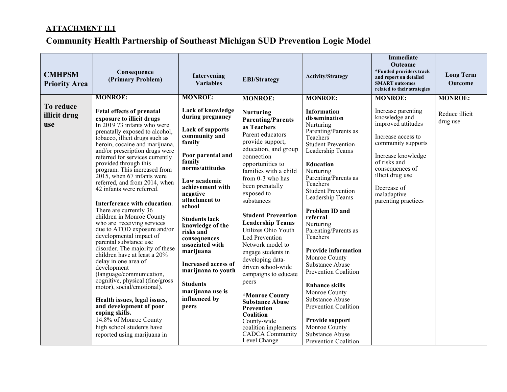| <b>CMHPSM</b><br><b>Priority Area</b>   | Consequence<br>(Primary Problem)                                                                                                                                                                                                                                                                                                                                                                                                                                                                                                                                                                                                                                                                                                                                                                                                                                                                                                                                                                                               | Intervening<br><b>Variables</b>                                                                                                                                                                                                                                                                                                                                                                                                                                          | <b>EBI/Strategy</b>                                                                                                                                                                                                                                                                                                                                                                                                                                                                                                                                                                                                                                       | <b>Activity/Strategy</b>                                                                                                                                                                                                                                                                                                                                                                                                                                                                                                                                                                                                          | <b>Immediate</b><br><b>Outcome</b><br>*Funded providers track<br>and report on detailed<br><b>SMART</b> outcomes<br>related to their strategies                                                                                                           | <b>Long Term</b><br><b>Outcome</b>           |
|-----------------------------------------|--------------------------------------------------------------------------------------------------------------------------------------------------------------------------------------------------------------------------------------------------------------------------------------------------------------------------------------------------------------------------------------------------------------------------------------------------------------------------------------------------------------------------------------------------------------------------------------------------------------------------------------------------------------------------------------------------------------------------------------------------------------------------------------------------------------------------------------------------------------------------------------------------------------------------------------------------------------------------------------------------------------------------------|--------------------------------------------------------------------------------------------------------------------------------------------------------------------------------------------------------------------------------------------------------------------------------------------------------------------------------------------------------------------------------------------------------------------------------------------------------------------------|-----------------------------------------------------------------------------------------------------------------------------------------------------------------------------------------------------------------------------------------------------------------------------------------------------------------------------------------------------------------------------------------------------------------------------------------------------------------------------------------------------------------------------------------------------------------------------------------------------------------------------------------------------------|-----------------------------------------------------------------------------------------------------------------------------------------------------------------------------------------------------------------------------------------------------------------------------------------------------------------------------------------------------------------------------------------------------------------------------------------------------------------------------------------------------------------------------------------------------------------------------------------------------------------------------------|-----------------------------------------------------------------------------------------------------------------------------------------------------------------------------------------------------------------------------------------------------------|----------------------------------------------|
| To reduce<br>illicit drug<br><b>use</b> | <b>MONROE:</b><br>Fetal effects of prenatal<br>exposure to illicit drugs<br>In $201973$ infants who were<br>prenatally exposed to alcohol,<br>tobacco, illicit drugs such as<br>heroin, cocaine and marijuana,<br>and/or prescription drugs were<br>referred for services currently<br>provided through this<br>program. This increased from<br>$2015$ , when 67 infants were<br>referred, and from 2014, when<br>42 infants were referred.<br>Interference with education.<br>There are currently 36<br>children in Monroe County<br>who are receiving services<br>due to ATOD exposure and/or<br>developmental impact of<br>parental substance use<br>disorder. The majority of these<br>children have at least a 20%<br>delay in one area of<br>development<br>(language/communication,<br>cognitive, physical (fine/gross<br>motor), social/emotional).<br>Health issues, legal issues,<br>and development of poor<br>coping skills.<br>14.8% of Monroe County<br>high school students have<br>reported using marijuana in | <b>MONROE:</b><br>Lack of knowledge<br>during pregnancy<br><b>Lack of supports</b><br>community and<br>family<br>Poor parental and<br>family<br>norms/attitudes<br>Low academic<br>achievement with<br>negative<br>attachment to<br>school<br><b>Students lack</b><br>knowledge of the<br>risks and<br>consequences<br>associated with<br>marijuana<br><b>Increased access of</b><br>marijuana to youth<br><b>Students</b><br>marijuana use is<br>influenced by<br>peers | <b>MONROE:</b><br><b>Nurturing</b><br><b>Parenting/Parents</b><br>as Teachers<br>Parent educators<br>provide support,<br>education, and group<br>connection<br>opportunities to<br>families with a child<br>from 0-3 who has<br>been prenatally<br>exposed to<br>substances<br><b>Student Prevention</b><br><b>Leadership Teams</b><br>Utilizes Ohio Youth<br>Led Prevention<br>Network model to<br>engage students in<br>developing data-<br>driven school-wide<br>campaigns to educate<br>peers<br>*Monroe County<br><b>Substance Abuse</b><br>Prevention<br>Coalition<br>County-wide<br>coalition implements<br><b>CADCA</b> Community<br>Level Change | <b>MONROE:</b><br><b>Information</b><br>dissemination<br>Nurturing<br>Parenting/Parents as<br>Teachers<br><b>Student Prevention</b><br>Leadership Teams<br><b>Education</b><br>Nurturing<br>Parenting/Parents as<br>Teachers<br><b>Student Prevention</b><br>Leadership Teams<br><b>Problem ID and</b><br>referral<br>Nurturing<br>Parenting/Parents as<br>Teachers<br><b>Provide information</b><br>Monroe County<br>Substance Abuse<br>Prevention Coalition<br><b>Enhance skills</b><br>Monroe County<br>Substance Abuse<br>Prevention Coalition<br>Provide support<br>Monroe County<br>Substance Abuse<br>Prevention Coalition | <b>MONROE:</b><br>Increase parenting<br>knowledge and<br>improved attitudes<br>Increase access to<br>community supports<br>Increase knowledge<br>of risks and<br>consequences of<br>illicit drug use<br>Decrease of<br>maladaptive<br>parenting practices | <b>MONROE:</b><br>Reduce illicit<br>drug use |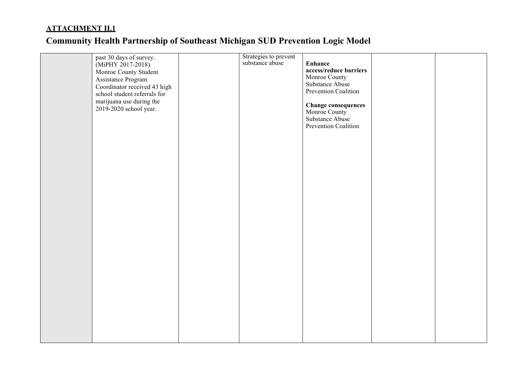|  | past 30 days of survey.<br>(MiPHY 2017-2018).<br>Monroe County Student<br>Assistance Program<br>Coordinator received 43 high<br>school student referrals for<br>marijuana use during the<br>2019-2020 school year. | Strategies to prevent<br>substance abuse | <b>Enhance</b><br>access/reduce barriers<br>Monroe County<br>Substance Abuse<br>Prevention Coalition<br><b>Change consequences</b><br>Monroe County<br>Substance Abuse<br>Prevention Coalition |  |
|--|--------------------------------------------------------------------------------------------------------------------------------------------------------------------------------------------------------------------|------------------------------------------|------------------------------------------------------------------------------------------------------------------------------------------------------------------------------------------------|--|
|  |                                                                                                                                                                                                                    |                                          |                                                                                                                                                                                                |  |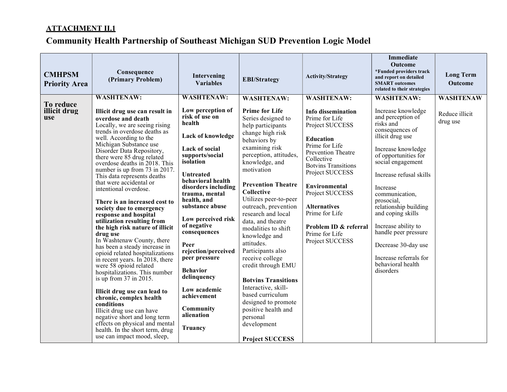| <b>CMHPSM</b><br><b>Priority Area</b> | Consequence<br>(Primary Problem)                                                                                                                                                                                                                                                                                                                                                                                                                                                                                                                                                                                                                                                                                                                                                                                                                                                                                                                                                                                                                      | Intervening<br><b>Variables</b>                                                                                                                                                                                                                                                                                                                                                                                                                                           | <b>EBI/Strategy</b>                                                                                                                                                                                                                                                                                                                                                                                                                                                                                                                                                                                                                          | <b>Activity/Strategy</b>                                                                                                                                                                                                                                                                                                                                                | <b>Immediate</b><br><b>Outcome</b><br>*Funded providers track<br>and report on detailed<br><b>SMART</b> outcomes<br>related to their strategies                                                                                                                                                                                                                                                                                            | <b>Long Term</b><br><b>Outcome</b>             |
|---------------------------------------|-------------------------------------------------------------------------------------------------------------------------------------------------------------------------------------------------------------------------------------------------------------------------------------------------------------------------------------------------------------------------------------------------------------------------------------------------------------------------------------------------------------------------------------------------------------------------------------------------------------------------------------------------------------------------------------------------------------------------------------------------------------------------------------------------------------------------------------------------------------------------------------------------------------------------------------------------------------------------------------------------------------------------------------------------------|---------------------------------------------------------------------------------------------------------------------------------------------------------------------------------------------------------------------------------------------------------------------------------------------------------------------------------------------------------------------------------------------------------------------------------------------------------------------------|----------------------------------------------------------------------------------------------------------------------------------------------------------------------------------------------------------------------------------------------------------------------------------------------------------------------------------------------------------------------------------------------------------------------------------------------------------------------------------------------------------------------------------------------------------------------------------------------------------------------------------------------|-------------------------------------------------------------------------------------------------------------------------------------------------------------------------------------------------------------------------------------------------------------------------------------------------------------------------------------------------------------------------|--------------------------------------------------------------------------------------------------------------------------------------------------------------------------------------------------------------------------------------------------------------------------------------------------------------------------------------------------------------------------------------------------------------------------------------------|------------------------------------------------|
| To reduce<br>illicit drug<br>use      | <b>WASHTENAW:</b><br>Illicit drug use can result in<br>overdose and death<br>Locally, we are seeing rising<br>trends in overdose deaths as<br>well. According to the<br>Michigan Substance use<br>Disorder Data Repository,<br>there were 85 drug related<br>overdose deaths in 2018. This<br>number is up from 73 in 2017.<br>This data represents deaths<br>that were accidental or<br>intentional overdose.<br>There is an increased cost to<br>society due to emergency<br>response and hospital<br>utilization resulting from<br>the high risk nature of illicit<br>drug use<br>In Washtenaw County, there<br>has been a steady increase in<br>opioid related hospitalizations<br>in recent years. In 2018, there<br>were 58 opioid related<br>hospitalizations. This number<br>is up from 37 in 2015.<br>Illicit drug use can lead to<br>chronic, complex health<br>conditions<br>Illicit drug use can have<br>negative short and long term<br>effects on physical and mental<br>health. In the short term, drug<br>use can impact mood, sleep, | <b>WASHTENAW:</b><br>Low perception of<br>risk of use on<br>health<br>Lack of knowledge<br>Lack of social<br>supports/social<br>isolation<br><b>Untreated</b><br>behavioral health<br>disorders including<br>trauma, mental<br>health, and<br>substance abuse<br>Low perceived risk<br>of negative<br>consequences<br>Peer<br>rejection/perceived<br>peer pressure<br><b>Behavior</b><br>delinquency<br>Low academic<br>achievement<br>Community<br>alienation<br>Truancy | <b>WASHTENAW:</b><br><b>Prime for Life</b><br>Series designed to<br>help participants<br>change high risk<br>behaviors by<br>examining risk<br>perception, attitudes,<br>knowledge, and<br>motivation<br><b>Prevention Theatre</b><br>Collective<br>Utilizes peer-to-peer<br>outreach, prevention<br>research and local<br>data, and theatre<br>modalities to shift<br>knowledge and<br>attitudes.<br>Participants also<br>receive college<br>credit through EMU<br><b>Botvins Transitions</b><br>Interactive, skill-<br>based curriculum<br>designed to promote<br>positive health and<br>personal<br>development<br><b>Project SUCCESS</b> | <b>WASHTENAW:</b><br><b>Info dissemination</b><br>Prime for Life<br>Project SUCCESS<br><b>Education</b><br>Prime for Life<br><b>Prevention Theatre</b><br>Collective<br><b>Botvins Transitions</b><br>Project SUCCESS<br><b>Environmental</b><br>Project SUCCESS<br><b>Alternatives</b><br>Prime for Life<br>Problem ID & referral<br>Prime for Life<br>Project SUCCESS | <b>WASHTENAW:</b><br>Increase knowledge<br>and perception of<br>risks and<br>consequences of<br>illicit drug use<br>Increase knowledge<br>of opportunities for<br>social engagement<br>Increase refusal skills<br>Increase<br>communication,<br>prosocial,<br>relationship building<br>and coping skills<br>Increase ability to<br>handle peer pressure<br>Decrease 30-day use<br>Increase referrals for<br>behavioral health<br>disorders | <b>WASHTENAW</b><br>Reduce illicit<br>drug use |